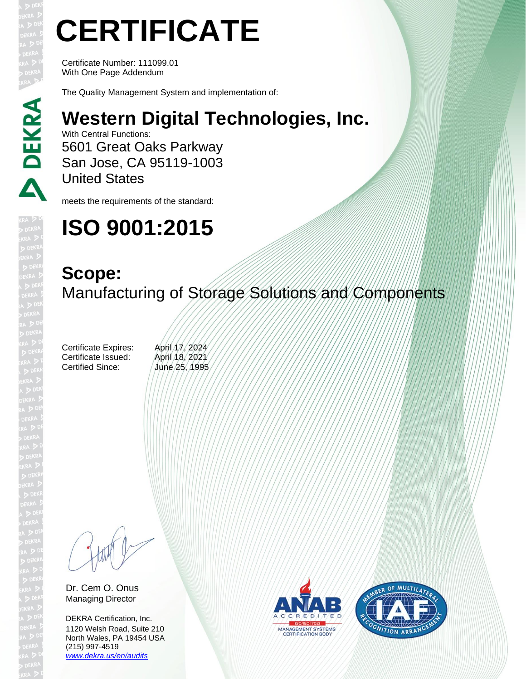# **CERTIFICATE**

Certificate Number: 111099.01 With One Page Addendum

The Quality Management System and implementation of:

### **Western Digital Technologies, Inc.**

With Central Functions: 5601 Great Oaks Parkway San Jose, CA 95119-1003 United States

meets the requirements of the standard:

## **ISO 9001:2015**

#### **Scope:** Manufacturing of Storage Solutions and Components

Certificate Expires: April 17, 2024 Certificate Issued: April 18, 2021 Certified Since: June 25, 1995

Dr. Cem O. Onus Managing Director

DEKRA Certification, Inc. 1120 Welsh Road, Suite 210 North Wales, PA 19454 USA (215) 997-4519 *[www.dekra.us/en/audits](http://www.dekra.us/en/audits)*